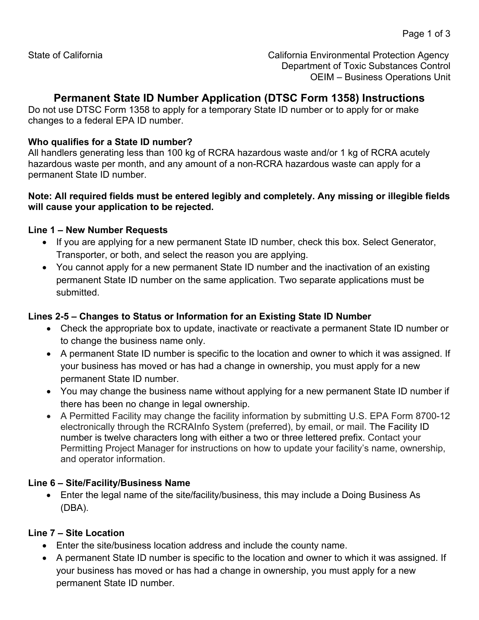State of California California Environmental Protection Agency Department of Toxic Substances Control OEIM – Business Operations Unit

# **Permanent State ID Number Application (DTSC Form 1358) Instructions**

Do not use DTSC Form 1358 to apply for a temporary State ID number or to apply for or make changes to a federal EPA ID number.

### **Who qualifies for a State ID number?**

All handlers generating less than 100 kg of RCRA hazardous waste and/or 1 kg of RCRA acutely hazardous waste per month, and any amount of a non-RCRA hazardous waste can apply for a permanent State ID number.

#### **Note: All required fields must be entered legibly and completely. Any missing or illegible fields will cause your application to be rejected.**

### **Line 1 – New Number Requests**

- If you are applying for a new permanent State ID number, check this box. Select Generator, Transporter, or both, and select the reason you are applying.
- You cannot apply for a new permanent State ID number and the inactivation of an existing permanent State ID number on the same application. Two separate applications must be submitted.

### **Lines 2-5 – Changes to Status or Information for an Existing State ID Number**

- Check the appropriate box to update, inactivate or reactivate a permanent State ID number or to change the business name only.
- A permanent State ID number is specific to the location and owner to which it was assigned. If your business has moved or has had a change in ownership, you must apply for a new permanent State ID number.
- You may change the business name without applying for a new permanent State ID number if there has been no change in legal ownership.
- A Permitted Facility may change the facility information by submitting U.S. EPA Form 8700-12 electronically through the RCRAInfo System (preferred), by email, or mail. The Facility ID number is twelve characters long with either a two or three lettered prefix. Contact your Permitting Project Manager for instructions on how to update your facility's name, ownership, and operator information.

### **Line 6 – Site/Facility/Business Name**

• Enter the legal name of the site/facility/business, this may include a Doing Business As (DBA).

### **Line 7 – Site Location**

- Enter the site/business location address and include the county name.
- A permanent State ID number is specific to the location and owner to which it was assigned. If your business has moved or has had a change in ownership, you must apply for a new permanent State ID number.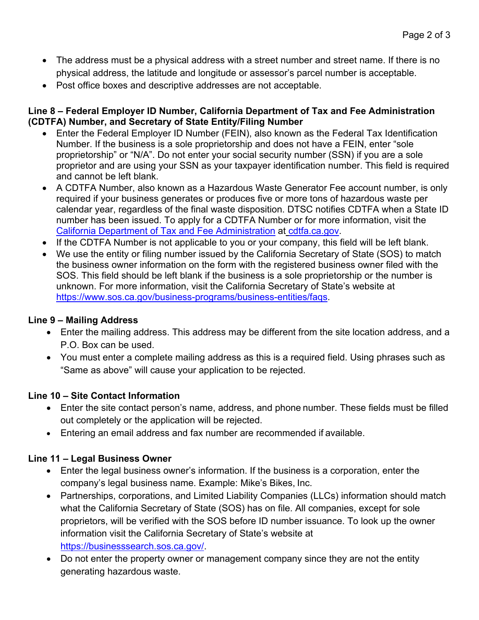- The address must be a physical address with a street number and street name. If there is no physical address, the latitude and longitude or assessor's parcel number is acceptable.
- Post office boxes and descriptive addresses are not acceptable.

### **Line 8 – Federal Employer ID Number, California Department of Tax and Fee Administration (CDTFA) Number, and Secretary of State Entity/Filing Number**

- Enter the Federal Employer ID Number (FEIN), also known as the Federal Tax Identification Number. If the business is a sole proprietorship and does not have a FEIN, enter "sole proprietorship" or "N/A". Do not enter your social security number (SSN) if you are a sole proprietor and are using your SSN as your taxpayer identification number. This field is required and cannot be left blank.
- A CDTFA Number, also known as a Hazardous Waste Generator Fee account number, is only required if your business generates or produces five or more tons of hazardous waste per calendar year, regardless of the final waste disposition. DTSC notifies CDTFA when a State ID number has been issued. To apply for a CDTFA Number or for more information, visit the [California Department of Tax and Fee Administration](http://www.cdtfa.ca.gov/) at [cdtfa.ca.gov.](http://cdtfa.ca.gov/)
- If the CDTFA Number is not applicable to you or your company, this field will be left blank.
- We use the entity or filing number issued by the California Secretary of State (SOS) to match the business owner information on the form with the registered business owner filed with the SOS. This field should be left blank if the business is a sole proprietorship or the number is unknown. For more information, visit the California Secretary of State's website at [https://www.sos.ca.gov/business-programs/business-entities/faqs.](https://www.sos.ca.gov/business-programs/business-entities/faqs)

### **Line 9 – Mailing Address**

- Enter the mailing address. This address may be different from the site location address, and a P.O. Box can be used.
- You must enter a complete mailing address as this is a required field. Using phrases such as "Same as above" will cause your application to be rejected.

### **Line 10 – Site Contact Information**

- Enter the site contact person's name, address, and phone number. These fields must be filled out completely or the application will be rejected.
- Entering an email address and fax number are recommended if available.

### **Line 11 – Legal Business Owner**

- Enter the legal business owner's information. If the business is a corporation, enter the company's legal business name. Example: Mike's Bikes, Inc.
- Partnerships, corporations, and Limited Liability Companies (LLCs) information should match what the California Secretary of State (SOS) has on file. All companies, except for sole proprietors, will be verified with the SOS before ID number issuance. To look up the owner information visit the California Secretary of State's website at [https://businesssearch.sos.ca.gov/.](https://businesssearch.sos.ca.gov/)
- Do not enter the property owner or management company since they are not the entity generating hazardous waste.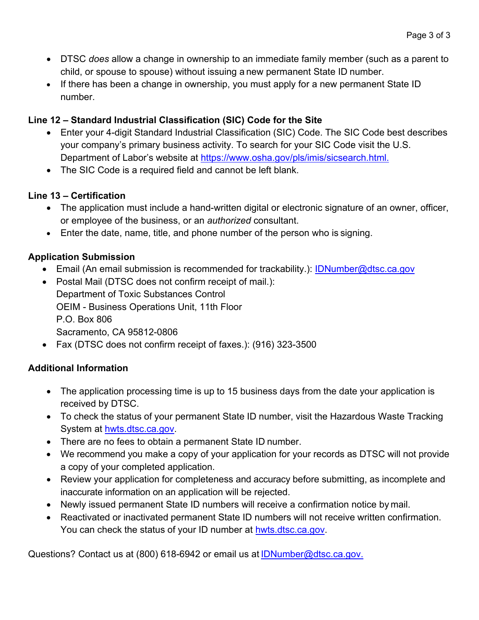- DTSC *does* allow a change in ownership to an immediate family member (such as a parent to child, or spouse to spouse) without issuing a new permanent State ID number.
- If there has been a change in ownership, you must apply for a new permanent State ID number.

## **Line 12 – Standard Industrial Classification (SIC) Code for the Site**

- Enter your 4-digit Standard Industrial Classification (SIC) Code. The SIC Code best describes your company's primary business activity. To search for your SIC Code visit the U.S. Department of Labor's website at<https://www.osha.gov/pls/imis/sicsearch.html.>
- The SIC Code is a required field and cannot be left blank.

### **Line 13 – Certification**

- The application must include a hand-written digital or electronic signature of an owner, officer, or employee of the business, or an *authorized* consultant.
- Enter the date, name, title, and phone number of the person who is signing.

### **Application Submission**

- Email (An email submission is recommended for trackability.): [IDNumber@dtsc.ca.gov](mailto:IDNumber@dtsc.ca.gov)
- Postal Mail (DTSC does not confirm receipt of mail.): Department of Toxic Substances Control OEIM - Business Operations Unit, 11th Floor P.O. Box 806 Sacramento, CA 95812-0806
- Fax (DTSC does not confirm receipt of faxes.): (916) 323-3500

### **Additional Information**

- The application processing time is up to 15 business days from the date your application is received by DTSC.
- To check the status of your permanent State ID number, visit the Hazardous Waste Tracking System at [hwts.dtsc.ca.gov.](https://hwts.dtsc.ca.gov/search)
- There are no fees to obtain a permanent State ID number.
- We recommend you make a copy of your application for your records as DTSC will not provide a copy of your completed application.
- Review your application for completeness and accuracy before submitting, as incomplete and inaccurate information on an application will be rejected.
- Newly issued permanent State ID numbers will receive a confirmation notice by mail.
- Reactivated or inactivated permanent State ID numbers will not receive written confirmation. You can check the status of your ID number at [hwts.dtsc.ca.gov.](https://hwts.dtsc.ca.gov/search)

Questions? Contact us at (800) 618-6942 or email us at [IDNumber@dtsc.ca.gov.](mailto:IDNumber@dtsc.ca.gov.)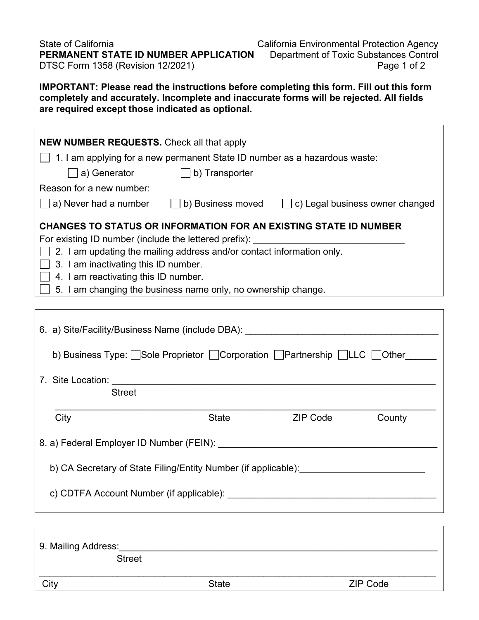State of CaliforniaCalifornia Environmental Protection Agency **PERMANENT STATE ID NUMBER APPLICATION** Department of Toxic Substances Control DTSC Form 1358 (Revision 12/2021) DTSC Form 1358 (Revision 12/2021)

**IMPORTANT: Please read the instructions before completing this form. Fill out this form completely and accurately. Incomplete and inaccurate forms will be rejected. All fields are required except those indicated as optional.**

| <b>NEW NUMBER REQUESTS.</b> Check all that apply                                                                                                     |       |                     |        |  |  |  |
|------------------------------------------------------------------------------------------------------------------------------------------------------|-------|---------------------|--------|--|--|--|
| 1. I am applying for a new permanent State ID number as a hazardous waste:                                                                           |       |                     |        |  |  |  |
| a) Generator (b) Transporter                                                                                                                         |       |                     |        |  |  |  |
| Reason for a new number:                                                                                                                             |       |                     |        |  |  |  |
| a) Never had a number $\Box$ b) Business moved $\Box$ c) Legal business owner changed                                                                |       |                     |        |  |  |  |
| CHANGES TO STATUS OR INFORMATION FOR AN EXISTING STATE ID NUMBER<br>For existing ID number (include the lettered prefix): __________________________ |       |                     |        |  |  |  |
| $\Box$ 2. I am updating the mailing address and/or contact information only.                                                                         |       |                     |        |  |  |  |
| $\Box$ 3. I am inactivating this ID number.                                                                                                          |       |                     |        |  |  |  |
| $\Box$ 4. I am reactivating this ID number.<br>$\Box$ 5. I am changing the business name only, no ownership change.                                  |       |                     |        |  |  |  |
|                                                                                                                                                      |       |                     |        |  |  |  |
| 6. a) Site/Facility/Business Name (include DBA): ________________________________                                                                    |       |                     |        |  |  |  |
| b) Business Type: Sole Proprietor Corporation Partnership LLC Other                                                                                  |       |                     |        |  |  |  |
|                                                                                                                                                      |       |                     |        |  |  |  |
| <b>Street</b>                                                                                                                                        |       |                     |        |  |  |  |
| City                                                                                                                                                 | State | ZIP Code North Code | County |  |  |  |
|                                                                                                                                                      |       |                     |        |  |  |  |
| b) CA Secretary of State Filing/Entity Number (if applicable):                                                                                       |       |                     |        |  |  |  |
|                                                                                                                                                      |       |                     |        |  |  |  |
|                                                                                                                                                      |       |                     |        |  |  |  |
|                                                                                                                                                      |       |                     |        |  |  |  |

| 9. Mailing Address: |              |                 |  |  |  |
|---------------------|--------------|-----------------|--|--|--|
| <b>Street</b>       |              |                 |  |  |  |
| City                | <b>State</b> | <b>ZIP Code</b> |  |  |  |